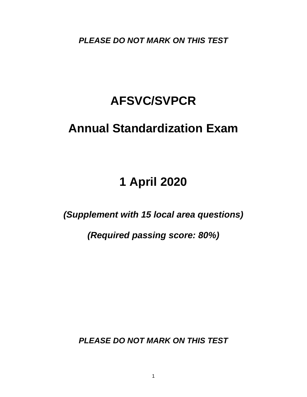*PLEASE DO NOT MARK ON THIS TEST*

# **AFSVC/SVPCR**

## **Annual Standardization Exam**

# **1 April 2020**

### *(Supplement with 15 local area questions)*

*(Required passing score: 80%)*

*PLEASE DO NOT MARK ON THIS TEST*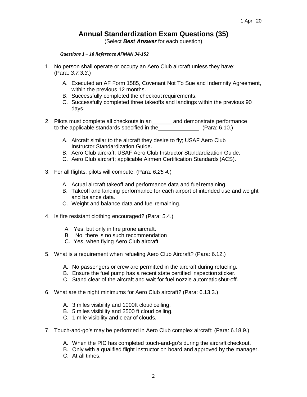### **Annual Standardization Exam Questions (35)**

(Select *Best Answer* for each question)

#### *Questions 1 – 18 Reference AFMAN 34-152*

- 1. No person shall operate or occupy an Aero Club aircraft unless they have: (Para: *3.7.3.3*.)
	- A. Executed an AF Form 1585, Covenant Not To Sue and Indemnity Agreement, within the previous 12 months.
	- B. Successfully completed the checkout requirements.
	- C. Successfully completed three takeoffs and landings within the previous 90 days.
- 2. Pilots must complete all checkouts in an\_\_\_\_\_\_\_and demonstrate performance to the applicable standards specified in the [10, 2010]. to the applicable standards specified in the
	- A. Aircraft similar to the aircraft they desire to fly; USAF Aero Club Instructor Standardization Guide.
	- B. Aero Club aircraft; USAF Aero Club Instructor Standardization Guide.
	- C. Aero Club aircraft; applicable Airmen Certification Standards (ACS).
- 3. For all flights, pilots will compute: (Para: *6.25.4.*)
	- A. Actual aircraft takeoff and performance data and fuel remaining.
	- B. Takeoff and landing performance for each airport of intended use and weight and balance data.
	- C. Weight and balance data and fuel remaining.
- 4. Is fire resistant clothing encouraged? (Para: 5.4.)
	- A. Yes, but only in fire prone aircraft.
	- B. No, there is no such recommendation
	- C. Yes, when flying Aero Club aircraft
- 5. What is a requirement when refueling Aero Club Aircraft? (Para: 6.12.)
	- A. No passengers or crew are permitted in the aircraft during refueling.
	- B. Ensure the fuel pump has a recent state certified inspection sticker.
	- C. Stand clear of the aircraft and wait for fuel nozzle automatic shut-off.
- 6. What are the night minimums for Aero Club aircraft? (Para: 6.13.3.)
	- A. 3 miles visibility and 1000ft cloud ceiling.
	- B. 5 miles visibility and 2500 ft cloud ceiling.
	- C. 1 mile visibility and clear of clouds.
- 7. Touch-and-go's may be performed in Aero Club complex aircraft: (Para: 6.18.9.)
	- A. When the PIC has completed touch-and-go's during the aircraft checkout.
	- B. Only with a qualified flight instructor on board and approved by the manager.
	- C. At all times.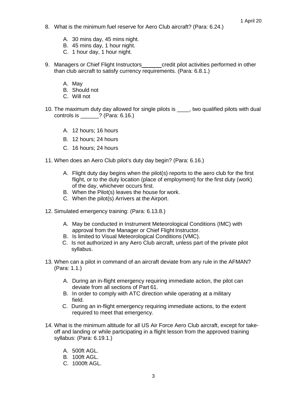- 8. What is the minimum fuel reserve for Aero Club aircraft? (Para: 6.24.)
	- A. 30 mins day, 45 mins night.
	- B. 45 mins day, 1 hour night.
	- C. 1 hour day, 1 hour night.
- 9. Managers or Chief Flight Instructors credit pilot activities performed in other than club aircraft to satisfy currency requirements. (Para: 6.8.1.)
	- A. May
	- B. Should not
	- C. Will not
- 10. The maximum duty day allowed for single pilots is \_\_\_\_, two qualified pilots with dual controls is \_\_\_\_\_\_? (Para: 6.16.)
	- A. 12 hours; 16 hours
	- B. 12 hours; 24 hours
	- C. 16 hours; 24 hours
- 11. When does an Aero Club pilot's duty day begin? (Para: 6.16.)
	- A. Flight duty day begins when the pilot(s) reports to the aero club for the first flight, or to the duty location (place of employment) for the first duty (work) of the day, whichever occurs first.
	- B. When the Pilot(s) leaves the house for work.
	- C. When the pilot(s) Arrivers at the Airport.
- 12. Simulated emergency training: (Para: 6.13.8.)
	- A. May be conducted in Instrument Meteorological Conditions (IMC) with approval from the Manager or Chief Flight Instructor.
	- B. Is limited to Visual Meteorological Conditions (VMC).
	- C. Is not authorized in any Aero Club aircraft, unless part of the private pilot syllabus.
- 13. When can a pilot in command of an aircraft deviate from any rule in the AFMAN? (Para: 1.1.)
	- A. During an in-flight emergency requiring immediate action, the pilot can deviate from all sections of Part 61.
	- B. In order to comply with ATC direction while operating at a military field.
	- C. During an in-flight emergency requiring immediate actions, to the extent required to meet that emergency.
- 14. What is the minimum altitude for all US Air Force Aero Club aircraft, except for takeoff and landing or while participating in a flight lesson from the approved training syllabus: (Para: 6.19.1.)
	- A. 500ft AGL.
	- B. 100ft AGL.
	- C. 1000ft AGL.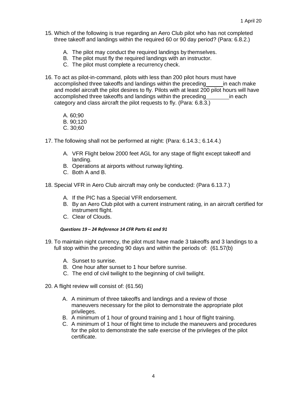- 15. Which of the following is true regarding an Aero Club pilot who has not completed three takeoff and landings within the required 60 or 90 day period? (Para: 6.8.2.)
	- A. The pilot may conduct the required landings by themselves.
	- B. The pilot must fly the required landings with an instructor.
	- C. The pilot must complete a recurrency check.
- 16. To act as pilot-in-command, pilots with less than 200 pilot hours must have accomplished three takeoffs and landings within the preceding in each make and model aircraft the pilot desires to fly. Pilots with at least 200 pilot hours will have accomplished three takeoffs and landings within the preceding in each category and class aircraft the pilot requests to fly. (Para: 6.8.3.)
	- A. 60;90
	- B. 90;120
	- C. 30;60
- 17. The following shall not be performed at night: (Para: 6.14.3.; 6.14.4.)
	- A. VFR Flight below 2000 feet AGL for any stage of flight except takeoff and landing.
	- B. Operations at airports without runway lighting.
	- C. Both A and B.
- 18. Special VFR in Aero Club aircraft may only be conducted: (Para 6.13.7.)
	- A. If the PIC has a Special VFR endorsement.
	- B. By an Aero Club pilot with a current instrument rating, in an aircraft certified for instrument flight.
	- C. Clear of Clouds.

#### *Questions 19 – 24 Reference 14 CFR Parts 61 and 91*

- 19. To maintain night currency, the pilot must have made 3 takeoffs and 3 landings to a full stop within the preceding 90 days and within the periods of: (61.57(b)
	- A. Sunset to sunrise.
	- B. One hour after sunset to 1 hour before sunrise.
	- C. The end of civil twilight to the beginning of civil twilight.
- 20. A flight review will consist of: (61.56)
	- A. A minimum of three takeoffs and landings and a review of those maneuvers necessary for the pilot to demonstrate the appropriate pilot privileges.
	- B. A minimum of 1 hour of ground training and 1 hour of flight training.
	- C. A minimum of 1 hour of flight time to include the maneuvers and procedures for the pilot to demonstrate the safe exercise of the privileges of the pilot certificate.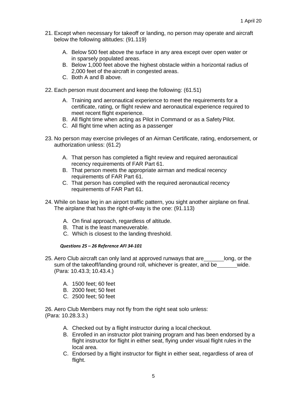- 21. Except when necessary for takeoff or landing, no person may operate and aircraft below the following altitudes: (91.119)
	- A. Below 500 feet above the surface in any area except over open water or in sparsely populated areas.
	- B. Below 1,000 feet above the highest obstacle within a horizontal radius of 2,000 feet of the aircraft in congested areas.
	- C. Both A and B above.
- 22. Each person must document and keep the following: (61.51)
	- A. Training and aeronautical experience to meet the requirements for a certificate, rating, or flight review and aeronautical experience required to meet recent flight experience.
	- B. All flight time when acting as Pilot in Command or as a Safety Pilot.
	- C. All flight time when acting as a passenger
- 23. No person may exercise privileges of an Airman Certificate, rating, endorsement, or authorization unless: (61.2)
	- A. That person has completed a flight review and required aeronautical recency requirements of FAR Part 61.
	- B. That person meets the appropriate airman and medical recency requirements of FAR Part 61.
	- C. That person has complied with the required aeronautical recency requirements of FAR Part 61.
- 24. While on base leg in an airport traffic pattern, you sight another airplane on final. The airplane that has the right-of-way is the one: (91.113)
	- A. On final approach, regardless of altitude.
	- B. That is the least maneuverable.
	- C. Which is closest to the landing threshold.

#### *Questions 25 – 26 Reference AFI 34-101*

- 25. Aero Club aircraft can only land at approved runways that are long, or the sum of the takeoff/landing ground roll, whichever is greater, and be wide. (Para: 10.43.3; 10.43.4.)
	- A. 1500 feet; 60 feet
	- B. 2000 feet; 50 feet
	- C. 2500 feet; 50 feet

26. Aero Club Members may not fly from the right seat solo unless: (Para: 10.28.3.3.)

- A. Checked out by a flight instructor during a local checkout.
- B. Enrolled in an instructor pilot training program and has been endorsed by a flight instructor for flight in either seat, flying under visual flight rules in the local area.
- C. Endorsed by a flight instructor for flight in either seat, regardless of area of flight.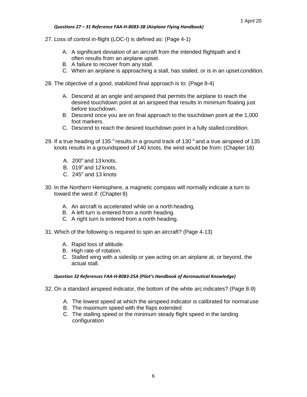#### *Questions 27 – 31 Reference FAA-H-8083-3B (Airplane Flying Handbook)*

- 27. Loss of control in-flight (LOC-I) is defined as: (Page 4-1)
	- A. A significant deviation of an aircraft from the intended flightpath and it often results from an airplane upset.
	- B. A failure to recover from any stall.
	- C. When an airplane is approaching a stall, has stalled, or is in an upset condition.
- 28. The objective of a good, stabilized final approach is to: (Page 8-4)
	- A. Descend at an angle and airspeed that permits the airplane to reach the desired touchdown point at an airspeed that results in minimum floating just before touchdown.
	- B. Descend once you are on final approach to the touchdown point at the 1,000 foot markers.
	- C. Descend to reach the desired touchdown point in a fully stalled condition.
- 29. If a true heading of 135  $\degree$  results in a ground track of 130  $\degree$  and a true airspeed of 135 knots results in a groundspeed of 140 knots, the wind would be from: (Chapter 16)
	- A.  $200^\circ$  and 13 knots.
	- B.  $019^\circ$  and 12 knots.
	- C.  $245^\circ$  and 13 knots
- 30. In the Northern Hemisphere, a magnetic compass will normally indicate a turn to toward the west if: (Chapter 8)
	- A. An aircraft is accelerated while on a north heading.
	- B. A left turn is entered from a north heading.
	- C. A right turn is entered from a north heading.
- 31. Which of the following is required to spin an aircraft? (Page 4-13)
	- A. Rapid loss of altitude.
	- B. High rate of rotation.
	- C. Stalled wing with a sideslip or yaw acting on an airplane at, or beyond, the actual stall.

#### *Question 32 References FAA-H-8083-25A (Pilot's Handbook of Aeronautical Knowledge)*

- 32. On a standard airspeed indicator, the bottom of the white arc indicates? (Page 8-9)
	- A. The lowest speed at which the airspeed indicator is calibrated for normal use
	- B. The maximum speed with the flaps extended
	- C. The stalling speed or the minimum steady flight speed in the landing configuration